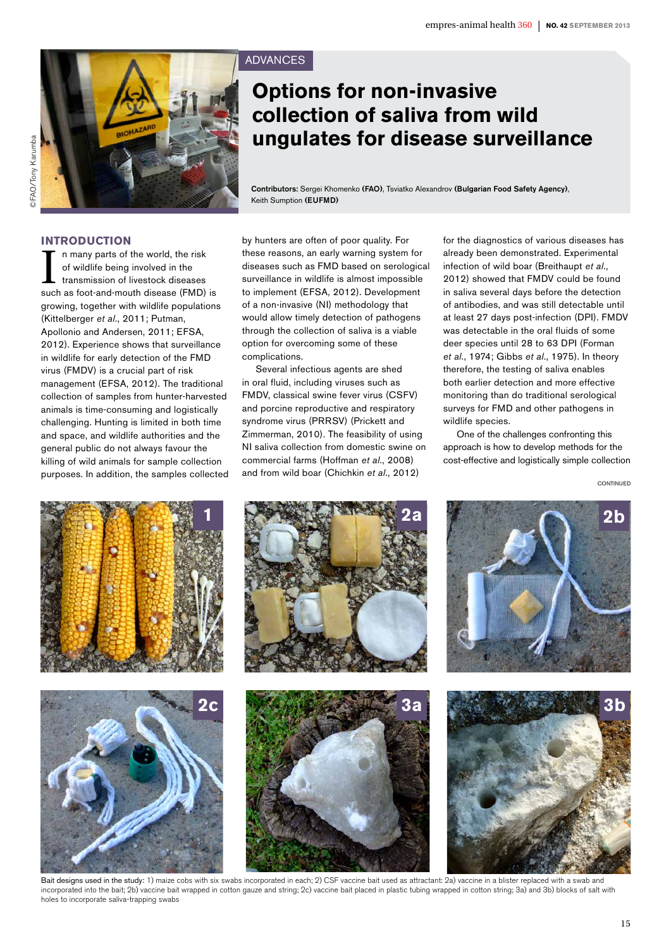



# ADVANCES

# **Options for non-invasive collection of saliva from wild ungulates for disease surveillance**

Contributors: Sergei Khomenko (FAO), Tsviatko Alexandrov (Bulgarian Food Safety Agency), Keith Sumption (EUFMD)

# **Introduction**

In many parts of the world, the risk<br>of wildlife being involved in the<br>transmission of livestock diseases<br>such as foot-and-mouth disease (FMD) is n many parts of the world, the risk of wildlife being involved in the transmission of livestock diseases growing, together with wildlife populations (Kittelberger *et al*., 2011; Putman, Apollonio and Andersen, 2011; EFSA, 2012). Experience shows that surveillance in wildlife for early detection of the FMD virus (FMDV) is a crucial part of risk management (EFSA, 2012). The traditional collection of samples from hunter-harvested animals is time-consuming and logistically challenging. Hunting is limited in both time and space, and wildlife authorities and the general public do not always favour the killing of wild animals for sample collection purposes. In addition, the samples collected by hunters are often of poor quality. For these reasons, an early warning system for diseases such as FMD based on serological surveillance in wildlife is almost impossible to implement (EFSA, 2012). Development of a non-invasive (NI) methodology that would allow timely detection of pathogens through the collection of saliva is a viable option for overcoming some of these complications.

Several infectious agents are shed in oral fluid, including viruses such as FMDV, classical swine fever virus (CSFV) and porcine reproductive and respiratory syndrome virus (PRRSV) (Prickett and Zimmerman, 2010). The feasibility of using NI saliva collection from domestic swine on commercial farms (Hoffman *et al*., 2008) and from wild boar (Chichkin *et al*., 2012)

for the diagnostics of various diseases has already been demonstrated. Experimental infection of wild boar (Breithaupt *et al*., 2012) showed that FMDV could be found in saliva several days before the detection of antibodies, and was still detectable until at least 27 days post-infection (DPI). FMDV was detectable in the oral fluids of some deer species until 28 to 63 DPI (Forman *et al*., 1974; Gibbs *et al*., 1975). In theory therefore, the testing of saliva enables both earlier detection and more effective monitoring than do traditional serological surveys for FMD and other pathogens in wildlife species.

One of the challenges confronting this approach is how to develop methods for the cost-effective and logistically simple collection

CONTINUED



Bait designs used in the study: 1) maize cobs with six swabs incorporated in each; 2) CSF vaccine bait used as attractant: 2a) vaccine in a blister replaced with a swab and incorporated into the bait; 2b) vaccine bait wrapped in cotton gauze and string; 2c) vaccine bait placed in plastic tubing wrapped in cotton string; 3a) and 3b) blocks of salt with holes to incorporate saliva-trapping swabs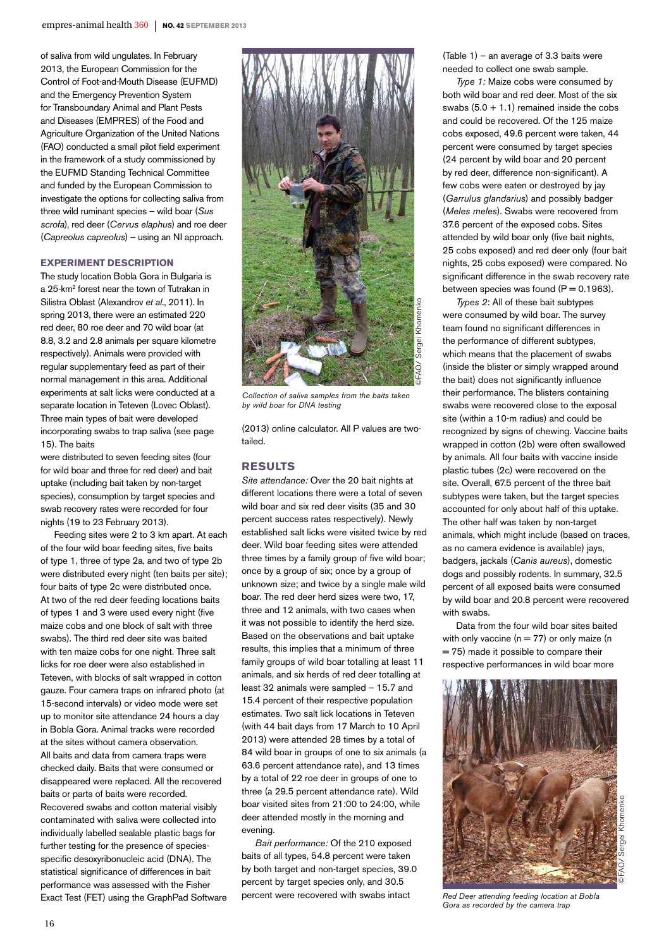of saliva from wild ungulates. In February 2013, the European Commission for the Control of Foot-and-Mouth Disease (EUFMD) and the Emergency Prevention System for Transboundary Animal and Plant Pests and Diseases (EMPRES) of the Food and Agriculture Organization of the United Nations (FAO) conducted a small pilot field experiment in the framework of a study commissioned by the EUFMD Standing Technical Committee and funded by the European Commission to investigate the options for collecting saliva from three wild ruminant species – wild boar (*Sus scrofa*), red deer (*Cervus elaphus*) and roe deer (*Capreolus capreolus*) – using an NI approach.

#### **Experiment description**

The study location Bobla Gora in Bulgaria is a 25-km2 forest near the town of Tutrakan in Silistra Oblast (Alexandrov *et al*., 2011). In spring 2013, there were an estimated 220 red deer, 80 roe deer and 70 wild boar (at 8.8, 3.2 and 2.8 animals per square kilometre respectively). Animals were provided with regular supplementary feed as part of their normal management in this area. Additional experiments at salt licks were conducted at a separate location in Teteven (Lovec Oblast). Three main types of bait were developed incorporating swabs to trap saliva (see page 15). The baits

were distributed to seven feeding sites (four for wild boar and three for red deer) and bait uptake (including bait taken by non-target species), consumption by target species and swab recovery rates were recorded for four nights (19 to 23 February 2013).

Feeding sites were 2 to 3 km apart. At each of the four wild boar feeding sites, five baits of type 1, three of type 2a, and two of type 2b were distributed every night (ten baits per site); four baits of type 2c were distributed once. At two of the red deer feeding locations baits of types 1 and 3 were used every night (five maize cobs and one block of salt with three swabs). The third red deer site was baited with ten maize cobs for one night. Three salt licks for roe deer were also established in Teteven, with blocks of salt wrapped in cotton gauze. Four camera traps on infrared photo (at 15-second intervals) or video mode were set up to monitor site attendance 24 hours a day in Bobla Gora. Animal tracks were recorded at the sites without camera observation. All baits and data from camera traps were checked daily. Baits that were consumed or disappeared were replaced. All the recovered baits or parts of baits were recorded. Recovered swabs and cotton material visibly contaminated with saliva were collected into individually labelled sealable plastic bags for further testing for the presence of speciesspecific desoxyribonucleic acid (DNA). The statistical significance of differences in bait performance was assessed with the Fisher Exact Test (FET) using the GraphPad Software



*Collection of saliva samples from the baits taken by wild boar for DNA testing*

(2013) online calculator. All P values are twotailed.

# **Results**

*Site attendance:* Over the 20 bait nights at different locations there were a total of seven wild boar and six red deer visits (35 and 30 percent success rates respectively). Newly established salt licks were visited twice by red deer. Wild boar feeding sites were attended three times by a family group of five wild boar; once by a group of six; once by a group of unknown size; and twice by a single male wild boar. The red deer herd sizes were two, 17, three and 12 animals, with two cases when it was not possible to identify the herd size. Based on the observations and bait uptake results, this implies that a minimum of three family groups of wild boar totalling at least 11 animals, and six herds of red deer totalling at least 32 animals were sampled – 15.7 and 15.4 percent of their respective population estimates. Two salt lick locations in Teteven (with 44 bait days from 17 March to 10 April 2013) were attended 28 times by a total of 84 wild boar in groups of one to six animals (a 63.6 percent attendance rate), and 13 times by a total of 22 roe deer in groups of one to three (a 29.5 percent attendance rate). Wild boar visited sites from 21:00 to 24:00, while deer attended mostly in the morning and evening.

*Bait performance:* Of the 210 exposed baits of all types, 54.8 percent were taken by both target and non-target species, 39.0 percent by target species only, and 30.5 percent were recovered with swabs intact

(Table 1) – an average of 3.3 baits were needed to collect one swab sample.

*Type 1:* Maize cobs were consumed by both wild boar and red deer. Most of the six swabs  $(5.0 + 1.1)$  remained inside the cobs and could be recovered. Of the 125 maize cobs exposed, 49.6 percent were taken, 44 percent were consumed by target species (24 percent by wild boar and 20 percent by red deer, difference non-significant). A few cobs were eaten or destroyed by jay (*Garrulus glandarius*) and possibly badger (*Meles meles*). Swabs were recovered from 37.6 percent of the exposed cobs. Sites attended by wild boar only (five bait nights, 25 cobs exposed) and red deer only (four bait nights, 25 cobs exposed) were compared. No significant difference in the swab recovery rate between species was found  $(P = 0.1963)$ .

*Types 2*: All of these bait subtypes were consumed by wild boar. The survey team found no significant differences in the performance of different subtypes, which means that the placement of swabs (inside the blister or simply wrapped around the bait) does not significantly influence their performance. The blisters containing swabs were recovered close to the exposal site (within a 10-m radius) and could be recognized by signs of chewing. Vaccine baits wrapped in cotton (2b) were often swallowed by animals. All four baits with vaccine inside plastic tubes (2c) were recovered on the site. Overall, 67.5 percent of the three bait subtypes were taken, but the target species accounted for only about half of this uptake. The other half was taken by non-target animals, which might include (based on traces, as no camera evidence is available) jays, badgers, jackals (*Canis aureus*), domestic dogs and possibly rodents. In summary, 32.5 percent of all exposed baits were consumed by wild boar and 20.8 percent were recovered with swabs.

Data from the four wild boar sites baited with only vaccine ( $n = 77$ ) or only maize (n  $= 75$ ) made it possible to compare their respective performances in wild boar more



*Red Deer attending feeding location at Bobla Gora as recorded by the camera trap*